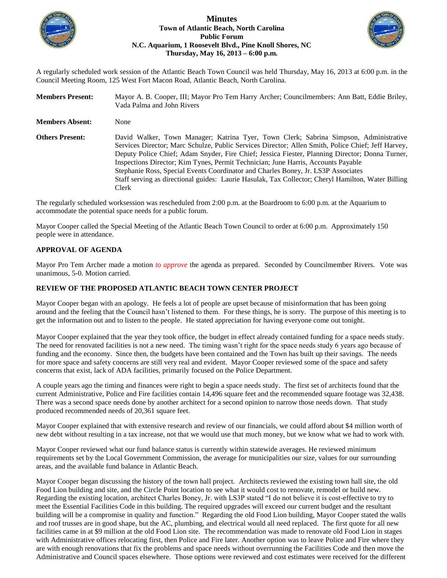

### **Minutes Town of Atlantic Beach, North Carolina Public Forum N.C. Aquarium, 1 Roosevelt Blvd., Pine Knoll Shores, NC Thursday, May 16, 2013 – 6:00 p.m.**



A regularly scheduled work session of the Atlantic Beach Town Council was held Thursday, May 16, 2013 at 6:00 p.m. in the Council Meeting Room, 125 West Fort Macon Road, Atlantic Beach, North Carolina.

| <b>Members Present:</b> | Mayor A. B. Cooper, III; Mayor Pro Tem Harry Archer; Councilmembers: Ann Batt, Eddie Briley,<br>Vada Palma and John Rivers                                                                                                                                                                                                                                                                                                                                                                                                                                                              |
|-------------------------|-----------------------------------------------------------------------------------------------------------------------------------------------------------------------------------------------------------------------------------------------------------------------------------------------------------------------------------------------------------------------------------------------------------------------------------------------------------------------------------------------------------------------------------------------------------------------------------------|
| <b>Members Absent:</b>  | None                                                                                                                                                                                                                                                                                                                                                                                                                                                                                                                                                                                    |
| <b>Others Present:</b>  | David Walker, Town Manager; Katrina Tyer, Town Clerk; Sabrina Simpson, Administrative<br>Services Director; Marc Schulze, Public Services Director; Allen Smith, Police Chief; Jeff Harvey,<br>Deputy Police Chief; Adam Snyder, Fire Chief; Jessica Fiester, Planning Director; Donna Turner,<br>Inspections Director; Kim Tynes, Permit Technician; June Harris, Accounts Payable<br>Stephanie Ross, Special Events Coordinator and Charles Boney, Jr. LS3P Associates<br>Staff serving as directional guides: Laurie Hasulak, Tax Collector; Cheryl Hamilton, Water Billing<br>Clerk |

The regularly scheduled worksession was rescheduled from 2:00 p.m. at the Boardroom to 6:00 p.m. at the Aquarium to accommodate the potential space needs for a public forum.

Mayor Cooper called the Special Meeting of the Atlantic Beach Town Council to order at 6:00 p.m. Approximately 150 people were in attendance.

### **APPROVAL OF AGENDA**

Mayor Pro Tem Archer made a motion *to approve* the agenda as prepared. Seconded by Councilmember Rivers. Vote was unanimous, 5-0. Motion carried.

## **REVIEW OF THE PROPOSED ATLANTIC BEACH TOWN CENTER PROJECT**

Mayor Cooper began with an apology. He feels a lot of people are upset because of misinformation that has been going around and the feeling that the Council hasn't listened to them. For these things, he is sorry. The purpose of this meeting is to get the information out and to listen to the people. He stated appreciation for having everyone come out tonight.

Mayor Cooper explained that the year they took office, the budget in effect already contained funding for a space needs study. The need for renovated facilities is not a new need. The timing wasn't right for the space needs study 6 years ago because of funding and the economy. Since then, the budgets have been contained and the Town has built up their savings. The needs for more space and safety concerns are still very real and evident. Mayor Cooper reviewed some of the space and safety concerns that exist, lack of ADA facilities, primarily focused on the Police Department.

A couple years ago the timing and finances were right to begin a space needs study. The first set of architects found that the current Administrative, Police and Fire facilities contain 14,496 square feet and the recommended square footage was 32,438. There was a second space needs done by another architect for a second opinion to narrow those needs down. That study produced recommended needs of 20,361 square feet.

Mayor Cooper explained that with extensive research and review of our financials, we could afford about \$4 million worth of new debt without resulting in a tax increase, not that we would use that much money, but we know what we had to work with.

Mayor Cooper reviewed what our fund balance status is currently within statewide averages. He reviewed minimum requirements set by the Local Government Commission, the average for municipalities our size, values for our surrounding areas, and the available fund balance in Atlantic Beach.

Mayor Cooper began discussing the history of the town hall project. Architects reviewed the existing town hall site, the old Food Lion building and site, and the Circle Point location to see what it would cost to renovate, remodel or build new. Regarding the existing location, architect Charles Boney, Jr. with LS3P stated "I do not believe it is cost-effective to try to meet the Essential Facilities Code in this building. The required upgrades will exceed our current budget and the resultant building will be a compromise in quality and function." Regarding the old Food Lion building, Mayor Cooper stated the walls and roof trusses are in good shape, but the AC, plumbing, and electrical would all need replaced. The first quote for all new facilities came in at \$9 million at the old Food Lion site. The recommendation was made to renovate old Food Lion in stages with Administrative offices relocating first, then Police and Fire later. Another option was to leave Police and Fire where they are with enough renovations that fix the problems and space needs without overrunning the Facilities Code and then move the Administrative and Council spaces elsewhere. Those options were reviewed and cost estimates were received for the different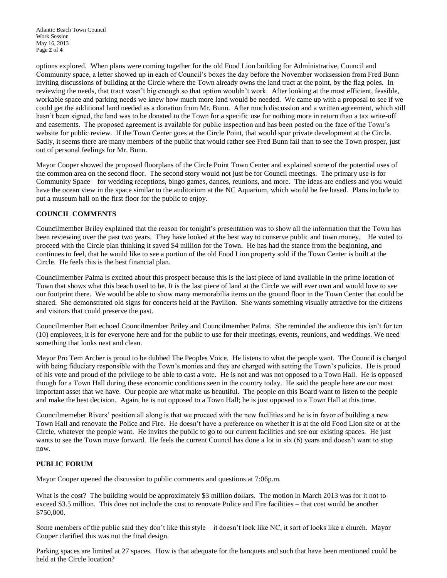options explored. When plans were coming together for the old Food Lion building for Administrative, Council and Community space, a letter showed up in each of Council's boxes the day before the November worksession from Fred Bunn inviting discussions of building at the Circle where the Town already owns the land tract at the point, by the flag poles. In reviewing the needs, that tract wasn't big enough so that option wouldn't work. After looking at the most efficient, feasible, workable space and parking needs we knew how much more land would be needed. We came up with a proposal to see if we could get the additional land needed as a donation from Mr. Bunn. After much discussion and a written agreement, which still hasn't been signed, the land was to be donated to the Town for a specific use for nothing more in return than a tax write-off and easements. The proposed agreement is available for public inspection and has been posted on the face of the Town's website for public review. If the Town Center goes at the Circle Point, that would spur private development at the Circle. Sadly, it seems there are many members of the public that would rather see Fred Bunn fail than to see the Town prosper, just out of personal feelings for Mr. Bunn.

Mayor Cooper showed the proposed floorplans of the Circle Point Town Center and explained some of the potential uses of the common area on the second floor. The second story would not just be for Council meetings. The primary use is for Community Space – for wedding receptions, bingo games, dances, reunions, and more. The ideas are endless and you would have the ocean view in the space similar to the auditorium at the NC Aquarium, which would be fee based. Plans include to put a museum hall on the first floor for the public to enjoy.

### **COUNCIL COMMENTS**

Councilmember Briley explained that the reason for tonight's presentation was to show all the information that the Town has been reviewing over the past two years. They have looked at the best way to conserve public and town money. He voted to proceed with the Circle plan thinking it saved \$4 million for the Town. He has had the stance from the beginning, and continues to feel, that he would like to see a portion of the old Food Lion property sold if the Town Center is built at the Circle. He feels this is the best financial plan.

Councilmember Palma is excited about this prospect because this is the last piece of land available in the prime location of Town that shows what this beach used to be. It is the last piece of land at the Circle we will ever own and would love to see our footprint there. We would be able to show many memorabilia items on the ground floor in the Town Center that could be shared. She demonstrated old signs for concerts held at the Pavilion. She wants something visually attractive for the citizens and visitors that could preserve the past.

Councilmember Batt echoed Councilmember Briley and Councilmember Palma. She reminded the audience this isn't for ten (10) employees, it is for everyone here and for the public to use for their meetings, events, reunions, and weddings. We need something that looks neat and clean.

Mayor Pro Tem Archer is proud to be dubbed The Peoples Voice. He listens to what the people want. The Council is charged with being fiduciary responsible with the Town's monies and they are charged with setting the Town's policies. He is proud of his vote and proud of the privilege to be able to cast a vote. He is not and was not opposed to a Town Hall. He is opposed though for a Town Hall during these economic conditions seen in the country today. He said the people here are our most important asset that we have. Our people are what make us beautiful. The people on this Board want to listen to the people and make the best decision. Again, he is not opposed to a Town Hall; he is just opposed to a Town Hall at this time.

Councilmemeber Rivers' position all along is that we proceed with the new facilities and he is in favor of building a new Town Hall and renovate the Police and Fire. He doesn't have a preference on whether it is at the old Food Lion site or at the Circle, whatever the people want. He invites the public to go to our current facilities and see our existing spaces. He just wants to see the Town move forward. He feels the current Council has done a lot in six (6) years and doesn't want to stop now.

# **PUBLIC FORUM**

Mayor Cooper opened the discussion to public comments and questions at 7:06p.m.

What is the cost? The building would be approximately \$3 million dollars. The motion in March 2013 was for it not to exceed \$3.5 million. This does not include the cost to renovate Police and Fire facilities – that cost would be another \$750,000.

Some members of the public said they don't like this style – it doesn't look like NC, it sort of looks like a church. Mayor Cooper clarified this was not the final design.

Parking spaces are limited at 27 spaces. How is that adequate for the banquets and such that have been mentioned could be held at the Circle location?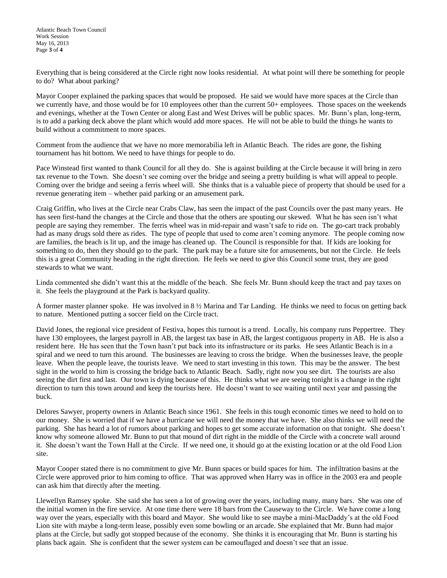Everything that is being considered at the Circle right now looks residential. At what point will there be something for people to do? What about parking?

Mayor Cooper explained the parking spaces that would be proposed. He said we would have more spaces at the Circle than we currently have, and those would be for 10 employees other than the current 50+ employees. Those spaces on the weekends and evenings, whether at the Town Center or along East and West Drives will be public spaces. Mr. Bunn's plan, long-term, is to add a parking deck above the plant which would add more spaces. He will not be able to build the things he wants to build without a commitment to more spaces.

Comment from the audience that we have no more memorabilia left in Atlantic Beach. The rides are gone, the fishing tournament has hit bottom. We need to have things for people to do.

Pace Winstead first wanted to thank Council for all they do. She is against building at the Circle because it will bring in zero tax revenue to the Town. She doesn't see coming over the bridge and seeing a pretty building is what will appeal to people. Coming over the bridge and seeing a ferris wheel will. She thinks that is a valuable piece of property that should be used for a revenue generating item – whether paid parking or an amusement park.

Craig Griffin, who lives at the Circle near Crabs Claw, has seen the impact of the past Councils over the past many years. He has seen first-hand the changes at the Circle and those that the others are spouting our skewed. What he has seen isn't what people are saying they remember. The ferris wheel was in mid-repair and wasn't safe to ride on. The go-cart track probably had as many drugs sold there as rides. The type of people that used to come aren't coming anymore. The people coming now are families, the beach is lit up, and the image has cleaned up. The Council is responsible for that. If kids are looking for something to do, then they should go to the park. The park may be a future site for amusements, but not the Circle. He feels this is a great Community heading in the right direction. He feels we need to give this Council some trust, they are good stewards to what we want.

Linda commented she didn't want this at the middle of the beach. She feels Mr. Bunn should keep the tract and pay taxes on it. She feels the playground at the Park is backyard quality.

A former master planner spoke. He was involved in 8 ½ Marina and Tar Landing. He thinks we need to focus on getting back to nature. Mentioned putting a soccer field on the Circle tract.

David Jones, the regional vice president of Festiva, hopes this turnout is a trend. Locally, his company runs Peppertree. They have 130 employees, the largest payroll in AB, the largest tax base in AB, the largest contiguous property in AB. He is also a resident here. He has seen that the Town hasn't put back into its infrastructure or its parks. He sees Atlantic Beach is in a spiral and we need to turn this around. The businesses are leaving to cross the bridge. When the businesses leave, the people leave. When the people leave, the tourists leave. We need to start investing in this town. This may be the answer. The best sight in the world to him is crossing the bridge back to Atlantic Beach. Sadly, right now you see dirt. The tourists are also seeing the dirt first and last. Our town is dying because of this. He thinks what we are seeing tonight is a change in the right direction to turn this town around and keep the tourists here. He doesn't want to see waiting until next year and passing the buck.

Delores Sawyer, property owners in Atlantic Beach since 1961. She feels in this tough economic times we need to hold on to our money. She is worried that if we have a hurricane we will need the money that we have. She also thinks we will need the parking. She has heard a lot of rumors about parking and hopes to get some accurate information on that tonight. She doesn't know why someone allowed Mr. Bunn to put that mound of dirt right in the middle of the Circle with a concrete wall around it. She doesn't want the Town Hall at the Circle. If we need one, it should go at the existing location or at the old Food Lion site.

Mayor Cooper stated there is no commitment to give Mr. Bunn spaces or build spaces for him. The infiltration basins at the Circle were approved prior to him coming to office. That was approved when Harry was in office in the 2003 era and people can ask him that directly after the meeting.

Llewellyn Ramsey spoke. She said she has seen a lot of growing over the years, including many, many bars. She was one of the initial women in the fire service. At one time there were 18 bars from the Causeway to the Circle. We have come a long way over the years, especially with this board and Mayor. She would like to see maybe a mini-MacDaddy's at the old Food Lion site with maybe a long-term lease, possibly even some bowling or an arcade. She explained that Mr. Bunn had major plans at the Circle, but sadly got stopped because of the economy. She thinks it is encouraging that Mr. Bunn is starting his plans back again. She is confident that the sewer system can be camouflaged and doesn't see that an issue.